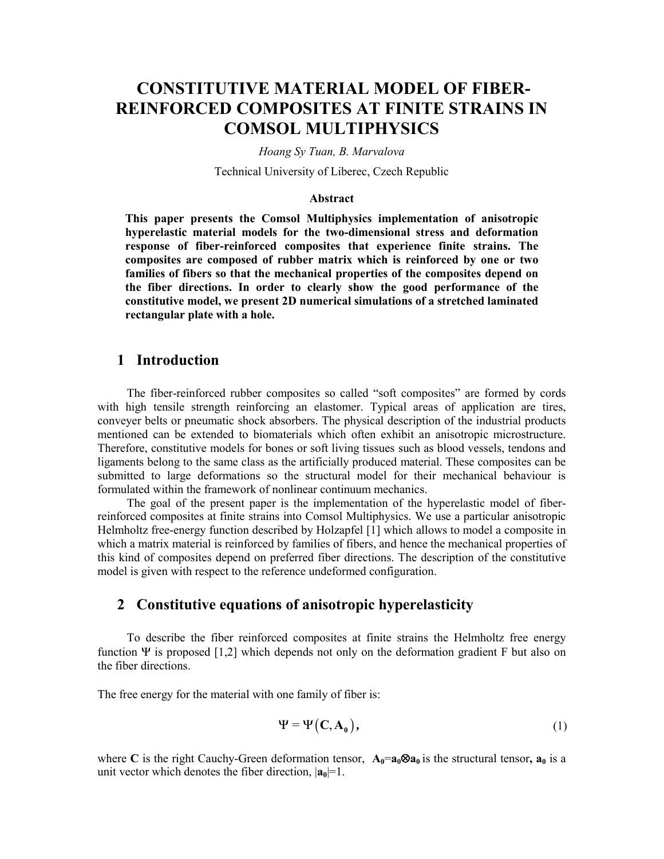# **CONSTITUTIVE MATERIAL MODEL OF FIBER-REINFORCED COMPOSITES AT FINITE STRAINS IN COMSOL MULTIPHYSICS**

*Hoang Sy Tuan, B. Marvalova* 

Technical University of Liberec, Czech Republic

#### **Abstract**

**This paper presents the Comsol Multiphysics implementation of anisotropic hyperelastic material models for the two-dimensional stress and deformation response of fiber-reinforced composites that experience finite strains. The composites are composed of rubber matrix which is reinforced by one or two families of fibers so that the mechanical properties of the composites depend on the fiber directions. In order to clearly show the good performance of the constitutive model, we present 2D numerical simulations of a stretched laminated rectangular plate with a hole.** 

### **1 Introduction**

The fiber-reinforced rubber composites so called "soft composites" are formed by cords with high tensile strength reinforcing an elastomer. Typical areas of application are tires, conveyer belts or pneumatic shock absorbers. The physical description of the industrial products mentioned can be extended to biomaterials which often exhibit an anisotropic microstructure. Therefore, constitutive models for bones or soft living tissues such as blood vessels, tendons and ligaments belong to the same class as the artificially produced material. These composites can be submitted to large deformations so the structural model for their mechanical behaviour is formulated within the framework of nonlinear continuum mechanics.

The goal of the present paper is the implementation of the hyperelastic model of fiberreinforced composites at finite strains into Comsol Multiphysics. We use a particular anisotropic Helmholtz free-energy function described by Holzapfel [1] which allows to model a composite in which a matrix material is reinforced by families of fibers, and hence the mechanical properties of this kind of composites depend on preferred fiber directions. The description of the constitutive model is given with respect to the reference undeformed configuration.

### **2 Constitutive equations of anisotropic hyperelasticity**

To describe the fiber reinforced composites at finite strains the Helmholtz free energy function  $\Psi$  is proposed [1,2] which depends not only on the deformation gradient F but also on the fiber directions.

The free energy for the material with one family of fiber is:

$$
\Psi = \Psi\left(C, A_0\right),\tag{1}
$$

where **C** is the right Cauchy-Green deformation tensor,  $\mathbf{A}_0 = \mathbf{a}_0 \otimes \mathbf{a}_0$  is the structural tensor,  $\mathbf{a}_0$  is a unit vector which denotes the fiber direction,  $|\mathbf{a}_0|=1$ .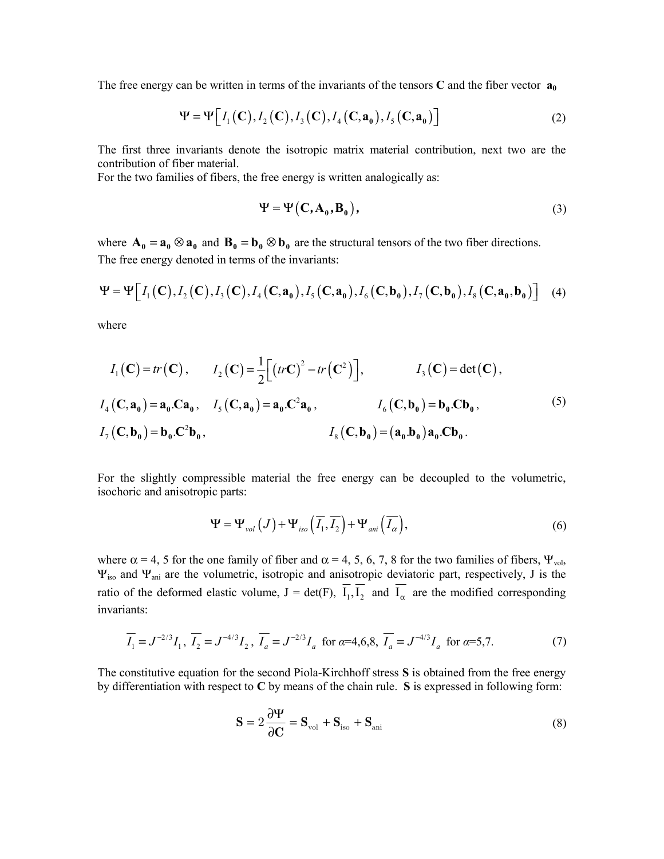The free energy can be written in terms of the invariants of the tensors **C** and the fiber vector  $\mathbf{a}_0$ 

$$
\Psi = \Psi \big[ I_1(\mathbf{C}), I_2(\mathbf{C}), I_3(\mathbf{C}), I_4(\mathbf{C}, \mathbf{a}_0), I_5(\mathbf{C}, \mathbf{a}_0) \big] \tag{2}
$$

The first three invariants denote the isotropic matrix material contribution, next two are the contribution of fiber material.

For the two families of fibers, the free energy is written analogically as:

$$
\Psi = \Psi \left( \mathbf{C}, \mathbf{A}_0, \mathbf{B}_0 \right),\tag{3}
$$

where  $\mathbf{A}_{0} = \mathbf{a}_{0} \otimes \mathbf{a}_{0}$  and  $\mathbf{B}_{0} = \mathbf{b}_{0} \otimes \mathbf{b}_{0}$  are the structural tensors of the two fiber directions. The free energy denoted in terms of the invariants:

$$
\Psi = \Psi \Big[ I_1(\mathbf{C}), I_2(\mathbf{C}), I_3(\mathbf{C}), I_4(\mathbf{C}, \mathbf{a}_0), I_5(\mathbf{C}, \mathbf{a}_0), I_6(\mathbf{C}, \mathbf{b}_0), I_7(\mathbf{C}, \mathbf{b}_0), I_8(\mathbf{C}, \mathbf{a}_0, \mathbf{b}_0) \Big] \tag{4}
$$

where

$$
I_{1}(\mathbf{C}) = tr(\mathbf{C}), \qquad I_{2}(\mathbf{C}) = \frac{1}{2} \Big[ \big( tr\mathbf{C} \big)^{2} - tr\big( \mathbf{C}^{2} \big) \Big], \qquad I_{3}(\mathbf{C}) = det(\mathbf{C}),
$$
  

$$
I_{4}(\mathbf{C}, \mathbf{a}_{0}) = \mathbf{a}_{0} \cdot \mathbf{C} \mathbf{a}_{0}, \qquad I_{5}(\mathbf{C}, \mathbf{a}_{0}) = \mathbf{a}_{0} \cdot \mathbf{C}^{2} \mathbf{a}_{0}, \qquad I_{6}(\mathbf{C}, \mathbf{b}_{0}) = \mathbf{b}_{0} \cdot \mathbf{C} \mathbf{b}_{0},
$$
  

$$
I_{7}(\mathbf{C}, \mathbf{b}_{0}) = \mathbf{b}_{0} \cdot \mathbf{C}^{2} \mathbf{b}_{0}, \qquad I_{8}(\mathbf{C}, \mathbf{b}_{0}) = (\mathbf{a}_{0} \cdot \mathbf{b}_{0}) \mathbf{a}_{0} \cdot \mathbf{C} \mathbf{b}_{0}.
$$
  
(5)

For the slightly compressible material the free energy can be decoupled to the volumetric, isochoric and anisotropic parts:

$$
\Psi = \Psi_{vol}(J) + \Psi_{iso}\left(\overline{I_1}, \overline{I_2}\right) + \Psi_{ani}\left(\overline{I_\alpha}\right),\tag{6}
$$

where  $\alpha$  = 4, 5 for the one family of fiber and  $\alpha$  = 4, 5, 6, 7, 8 for the two families of fibers,  $\Psi_{\text{vol}}$ , Ψiso and Ψani are the volumetric, isotropic and anisotropic deviatoric part, respectively, J is the ratio of the deformed elastic volume,  $J = det(F)$ ,  $\overline{I_1}$ ,  $\overline{I_2}$  and  $\overline{I_\alpha}$  are the modified corresponding invariants:

$$
\overline{I_1} = J^{-2/3} I_1, \ \overline{I_2} = J^{-4/3} I_2, \ \overline{I_a} = J^{-2/3} I_a \ \text{ for } a = 4, 6, 8, \ \overline{I_a} = J^{-4/3} I_a \ \text{ for } a = 5, 7.
$$
 (7)

The constitutive equation for the second Piola-Kirchhoff stress **S** is obtained from the free energy by differentiation with respect to **C** by means of the chain rule. **S** is expressed in following form:

$$
\mathbf{S} = 2\frac{\partial \Psi}{\partial \mathbf{C}} = \mathbf{S}_{\text{vol}} + \mathbf{S}_{\text{iso}} + \mathbf{S}_{\text{ani}}
$$
(8)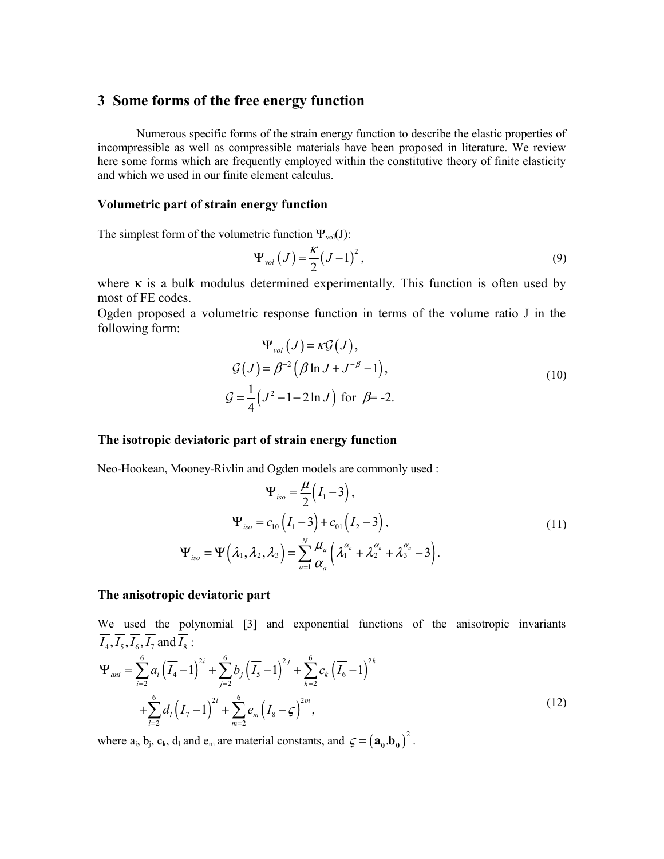### **3 Some forms of the free energy function**

 Numerous specific forms of the strain energy function to describe the elastic properties of incompressible as well as compressible materials have been proposed in literature. We review here some forms which are frequently employed within the constitutive theory of finite elasticity and which we used in our finite element calculus.

#### **Volumetric part of strain energy function**

The simplest form of the volumetric function  $\Psi_{vol}(J)$ :

$$
\Psi_{\text{vol}}(J) = \frac{\kappa}{2} (J - 1)^2, \qquad (9)
$$

where  $\kappa$  is a bulk modulus determined experimentally. This function is often used by most of FE codes.

Ogden proposed a volumetric response function in terms of the volume ratio J in the following form:

$$
\Psi_{vol}(J) = \kappa \mathcal{G}(J),
$$
  
\n
$$
\mathcal{G}(J) = \beta^{-2} (\beta \ln J + J^{-\beta} - 1),
$$
  
\n
$$
\mathcal{G} = \frac{1}{4} (J^2 - 1 - 2 \ln J) \text{ for } \beta = -2.
$$
\n(10)

#### **The isotropic deviatoric part of strain energy function**

Neo-Hookean, Mooney-Rivlin and Ogden models are commonly used :

$$
\Psi_{iso} = \frac{\mu}{2} (\overline{I_1} - 3),
$$
  
\n
$$
\Psi_{iso} = c_{10} (\overline{I_1} - 3) + c_{01} (\overline{I_2} - 3),
$$
  
\n
$$
\Psi_{iso} = \Psi (\overline{\lambda}_1, \overline{\lambda}_2, \overline{\lambda}_3) = \sum_{a=1}^{N} \frac{\mu_a}{\alpha_a} (\overline{\lambda}_1^{\alpha_a} + \overline{\lambda}_2^{\alpha_a} + \overline{\lambda}_3^{\alpha_a} - 3).
$$
\n(11)

#### **The anisotropic deviatoric part**

We used the polynomial [3] and exponential functions of the anisotropic invariants  $\overline{I_4}, \overline{I_5}, \overline{I_6}, \overline{I_7}$  and  $\overline{I_8}$  :

$$
\Psi_{ani} = \sum_{i=2}^{6} a_i \left( \overline{I_4} - 1 \right)^{2i} + \sum_{j=2}^{6} b_j \left( \overline{I_5} - 1 \right)^{2j} + \sum_{k=2}^{6} c_k \left( \overline{I_6} - 1 \right)^{2k} + \sum_{l=2}^{6} d_l \left( \overline{I_7} - 1 \right)^{2l} + \sum_{m=2}^{6} e_m \left( \overline{I_8} - 1 \right)^{2m}, \tag{12}
$$

where  $a_i$ ,  $b_j$ ,  $c_k$ ,  $d_l$  and  $e_m$  are material constants, and  $\zeta = (a_0.b_0)^2$ .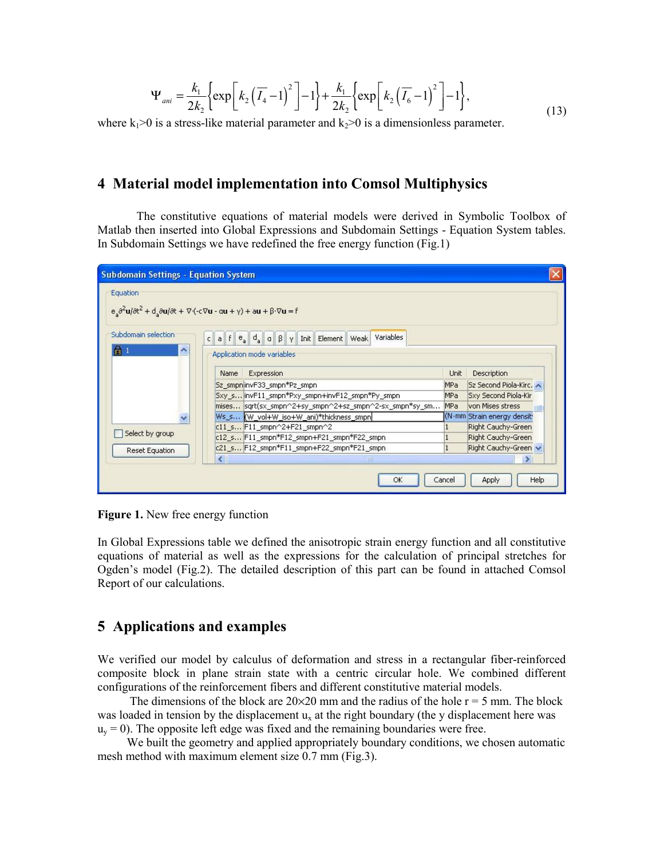$$
\Psi_{\text{ani}} = \frac{k_1}{2k_2} \left\{ \exp\left[k_2\left(\overline{I_4} - 1\right)^2\right] - 1\right\} + \frac{k_1}{2k_2} \left\{ \exp\left[k_2\left(\overline{I_6} - 1\right)^2\right] - 1\right\},\tag{13}
$$

where  $k_1$ >0 is a stress-like material parameter and  $k_2$ >0 is a dimensionless parameter.

## **4 Material model implementation into Comsol Multiphysics**

The constitutive equations of material models were derived in Symbolic Toolbox of Matlab then inserted into Global Expressions and Subdomain Settings - Equation System tables. In Subdomain Settings we have redefined the free energy function (Fig.1)

| <b>Subdomain Settings - Equation System</b> |                                                                                                                                                              |             |                            |      |
|---------------------------------------------|--------------------------------------------------------------------------------------------------------------------------------------------------------------|-------------|----------------------------|------|
| Equation                                    | $e_s \frac{\partial^2 u}{\partial t^2} + d_s \frac{\partial u}{\partial t} + \nabla (-c \nabla u - \alpha u + \gamma) + \alpha u + \beta \cdot \nabla u = f$ |             |                            |      |
| Subdomain selection<br>$\wedge$<br>H        | Variables<br>$a \upharpoonright e$ $d$ $d$ $\upharpoonright g$ $\upharpoonright Y$<br>Init   Element   Weak  <br>$\mathsf{C}$<br>Application mode variables  |             |                            |      |
|                                             | <b>Expression</b><br>Name                                                                                                                                    | <b>Unit</b> | <b>Description</b>         |      |
|                                             | Sz_smpninvF33_smpn*Pz_smpn                                                                                                                                   | MPa         | Sz Second Piola-Kirc.      |      |
|                                             | Sxy_s invF11_smpn*Pxy_smpn+invF12_smpn*Py_smpn                                                                                                               | MPa         | Sxy Second Piola-Kir       |      |
|                                             | mises sqrt(sx_smpn^2+sy_smpn^2+sz_smpn^2-sx_smpn*sy_sm                                                                                                       | MPa         | von Mises stress           |      |
|                                             | Ws_s (W vol+W iso+W ani)*thickness smpn                                                                                                                      |             | (N.mm Strain energy densit |      |
|                                             | c11 s F11 smpn^2+F21 smpn^2                                                                                                                                  |             | Right Cauchy-Green         |      |
| Select by group                             | c12_sF11_smpn*F12_smpn+F21_smpn*F22_smpn                                                                                                                     |             | Right Cauchy-Green         |      |
| <b>Reset Equation</b>                       | c21 s F12 smpn*F11 smpn+F22 smpn*F21 smpn                                                                                                                    |             | Right Cauchy-Green         |      |
|                                             | $\leftarrow$<br><b>TILLE</b>                                                                                                                                 |             |                            |      |
|                                             | OK                                                                                                                                                           | Cancel      | Apply                      | Help |

**Figure 1.** New free energy function

In Global Expressions table we defined the anisotropic strain energy function and all constitutive equations of material as well as the expressions for the calculation of principal stretches for Ogden's model (Fig.2). The detailed description of this part can be found in attached Comsol Report of our calculations.

## **5 Applications and examples**

We verified our model by calculus of deformation and stress in a rectangular fiber-reinforced composite block in plane strain state with a centric circular hole. We combined different configurations of the reinforcement fibers and different constitutive material models.

The dimensions of the block are  $20\times20$  mm and the radius of the hole  $r = 5$  mm. The block was loaded in tension by the displacement  $u_x$  at the right boundary (the y displacement here was  $u<sub>v</sub> = 0$ ). The opposite left edge was fixed and the remaining boundaries were free.

We built the geometry and applied appropriately boundary conditions, we chosen automatic mesh method with maximum element size 0.7 mm (Fig.3).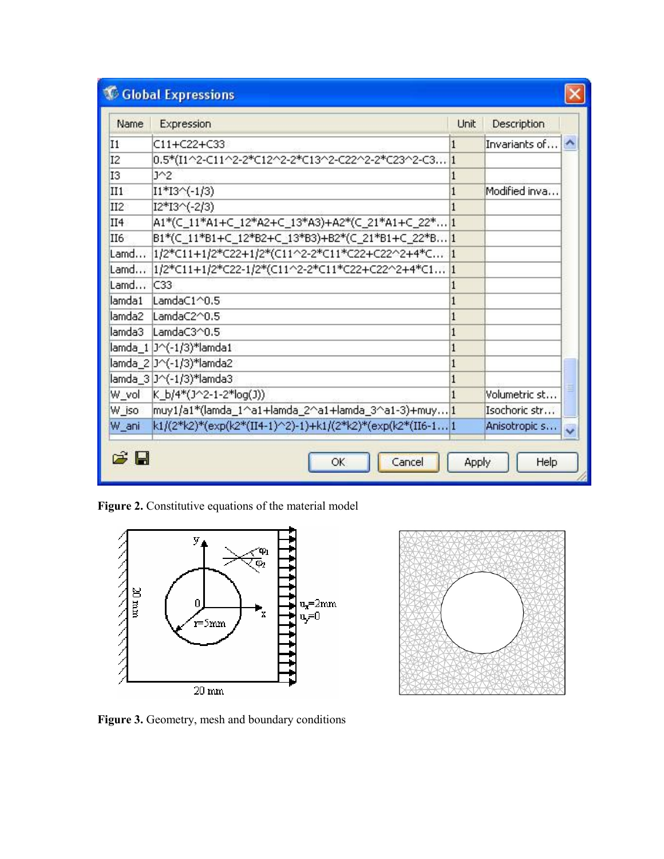| Name            | Expression                                                 | Unit | Description   |  |
|-----------------|------------------------------------------------------------|------|---------------|--|
| I <sub>1</sub>  | C11+C22+C33                                                |      | Invariants of |  |
| I2              | 0.5*(I1^2-C11^2-2*C12^2-2*C13^2-C22^2-2*C23^2-C3 1         |      |               |  |
| I3              | $J^2$                                                      |      |               |  |
| II1             | $I1*I3^(-1/3)$                                             |      | Modified inva |  |
| II <sub>2</sub> | $I2*I3^(-2/3)$                                             |      |               |  |
| II4             | A1*(C_11*A1+C_12*A2+C_13*A3)+A2*(C_21*A1+C_22* 1           |      |               |  |
| II6             | B1*(C_11*B1+C_12*B2+C_13*B3)+B2*(C_21*B1+C_22*B1           |      |               |  |
|                 | Lamd  1/2*C11+1/2*C22+1/2*(C11^2-2*C11*C22+C22^2+4*C  1    |      |               |  |
|                 | Lamd  1/2*C11+1/2*C22-1/2*(C11^2-2*C11*C22+C22^2+4*C1 1    |      |               |  |
| Lamd C33        |                                                            |      |               |  |
| lamda1          | LamdaC1^0.5                                                |      |               |  |
| lamda2          | LamdaC2^0.5                                                |      |               |  |
| lamda3          | LamdaC3^0.5                                                |      |               |  |
|                 | lamda_1  J^(-1/3)*lamda1                                   |      |               |  |
|                 | lamda_2 J^(-1/3)*lamda2                                    |      |               |  |
|                 | lamda_3 J^(-1/3)*lamda3                                    |      |               |  |
|                 | W_vol K_b/4*(J^2-1-2*log(J))                               |      | Volumetric st |  |
| W_iso           | muy1/a1*(lamda_1^a1+lamda_2^a1+lamda_3^a1-3)+muy1          |      | Isochoric str |  |
| W_ani           | k1/(2*k2)*(exp(k2*(II4-1)^2)-1)+k1/(2*k2)*(exp(k2*(II6-1 1 |      | Anisotropic s |  |

Figure 2. Constitutive equations of the material model





Figure 3. Geometry, mesh and boundary conditions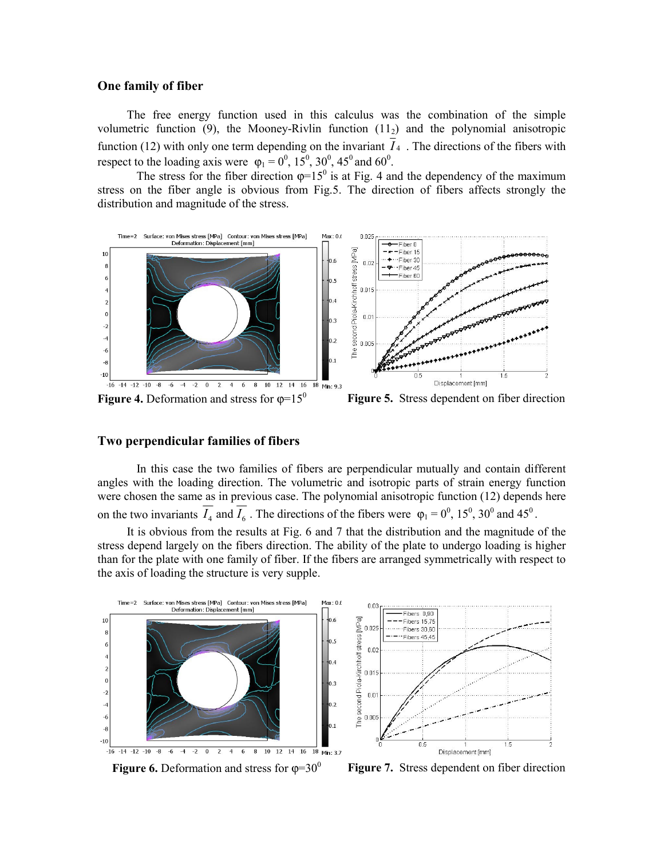#### **One family of fiber**

The free energy function used in this calculus was the combination of the simple volumetric function  $(9)$ , the Mooney-Rivlin function  $(11<sub>2</sub>)$  and the polynomial anisotropic function (12) with only one term depending on the invariant  $\overline{I}_4$ . The directions of the fibers with respect to the loading axis were  $\varphi_1 = 0^0$ , 15<sup>0</sup>, 30<sup>0</sup>, 45<sup>0</sup> and 60<sup>0</sup>.

The stress for the fiber direction  $\varphi = 15^{\circ}$  is at Fig. 4 and the dependency of the maximum stress on the fiber angle is obvious from Fig.5. The direction of fibers affects strongly the distribution and magnitude of the stress.



#### **Two perpendicular families of fibers**

 In this case the two families of fibers are perpendicular mutually and contain different angles with the loading direction. The volumetric and isotropic parts of strain energy function were chosen the same as in previous case. The polynomial anisotropic function (12) depends here on the two invariants  $\overline{I_4}$  and  $\overline{I_6}$ . The directions of the fibers were  $\varphi_1 = 0^0$ , 15<sup>0</sup>, 30<sup>0</sup> and 45<sup>0</sup>.

It is obvious from the results at Fig. 6 and 7 that the distribution and the magnitude of the stress depend largely on the fibers direction. The ability of the plate to undergo loading is higher than for the plate with one family of fiber. If the fibers are arranged symmetrically with respect to the axis of loading the structure is very supple.



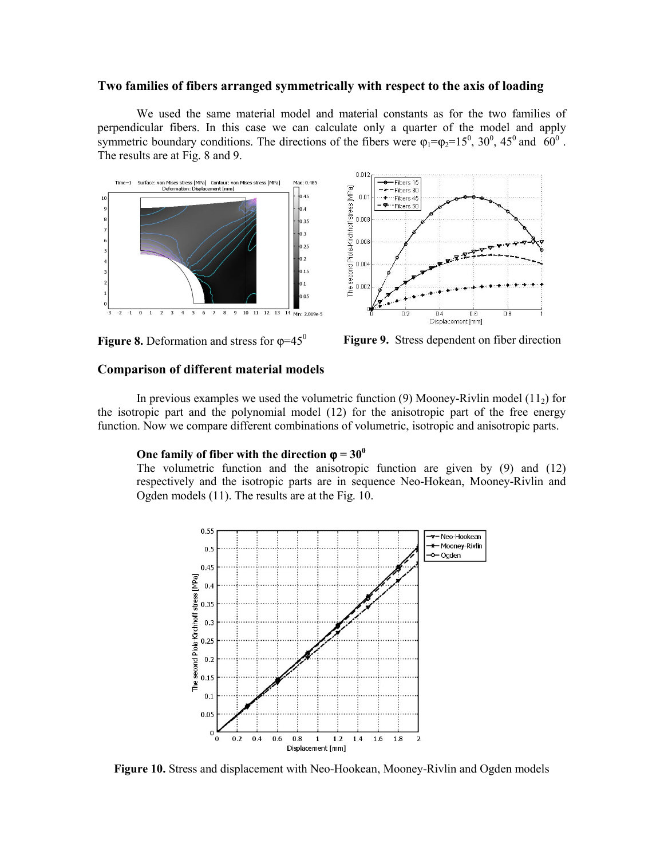#### **Two families of fibers arranged symmetrically with respect to the axis of loading**

 We used the same material model and material constants as for the two families of perpendicular fibers. In this case we can calculate only a quarter of the model and apply symmetric boundary conditions. The directions of the fibers were  $\varphi_1 = \varphi_2 = 15^0$ ,  $30^0$ ,  $45^0$  and  $60^0$ . The results are at Fig. 8 and 9.







#### **Comparison of different material models**

In previous examples we used the volumetric function (9) Mooney-Rivlin model (11 $_2$ ) for the isotropic part and the polynomial model (12) for the anisotropic part of the free energy function. Now we compare different combinations of volumetric, isotropic and anisotropic parts.

#### **One family of fiber with the direction**  $\varphi = 30^\circ$

The volumetric function and the anisotropic function are given by (9) and (12) respectively and the isotropic parts are in sequence Neo-Hokean, Mooney-Rivlin and Ogden models (11). The results are at the Fig. 10.



**Figure 10.** Stress and displacement with Neo-Hookean, Mooney-Rivlin and Ogden models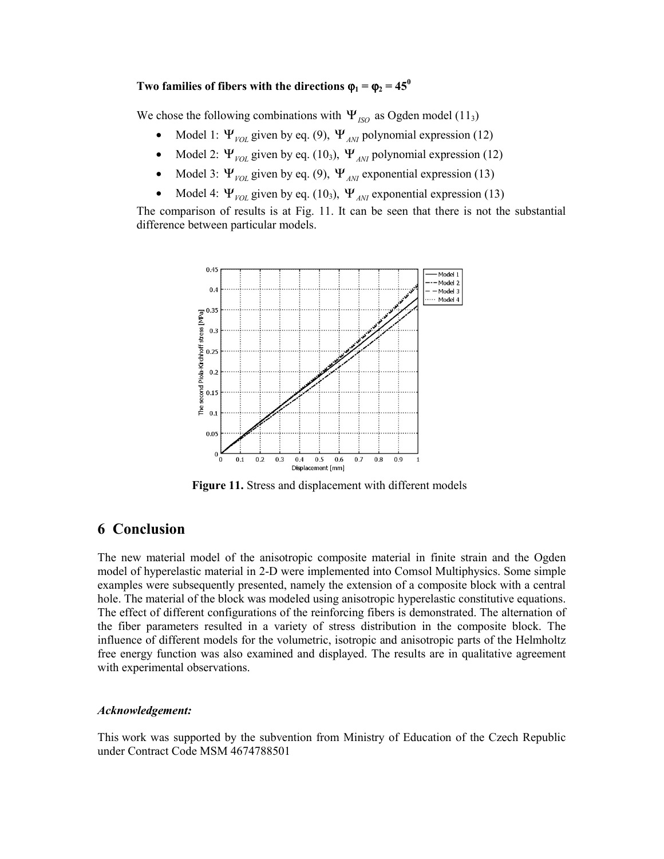## **Two families of fibers with the directions**  $\varphi_1 = \varphi_2 = 45^\circ$

We chose the following combinations with  $\Psi_{ISO}$  as Ogden model (11<sub>3</sub>)

- Model 1:  $\Psi_{\text{VOL}}$  given by eq. (9),  $\Psi_{\text{ANT}}$  polynomial expression (12)
- Model 2:  $\Psi_{\text{VOL}}$  given by eq. (10<sub>3</sub>),  $\Psi_{\text{ANT}}$  polynomial expression (12)
- Model 3:  $\Psi_{\text{VOL}}$  given by eq. (9),  $\Psi_{\text{ANI}}$  exponential expression (13)
- Model 4:  $\Psi_{\text{VOL}}$  given by eq. (10<sub>3</sub>),  $\Psi_{\text{ANT}}$  exponential expression (13)

The comparison of results is at Fig. 11. It can be seen that there is not the substantial difference between particular models.



**Figure 11.** Stress and displacement with different models

### **6 Conclusion**

The new material model of the anisotropic composite material in finite strain and the Ogden model of hyperelastic material in 2-D were implemented into Comsol Multiphysics. Some simple examples were subsequently presented, namely the extension of a composite block with a central hole. The material of the block was modeled using anisotropic hyperelastic constitutive equations. The effect of different configurations of the reinforcing fibers is demonstrated. The alternation of the fiber parameters resulted in a variety of stress distribution in the composite block. The influence of different models for the volumetric, isotropic and anisotropic parts of the Helmholtz free energy function was also examined and displayed. The results are in qualitative agreement with experimental observations.

#### *Acknowledgement:*

This work was supported by the subvention from Ministry of Education of the Czech Republic under Contract Code MSM 4674788501